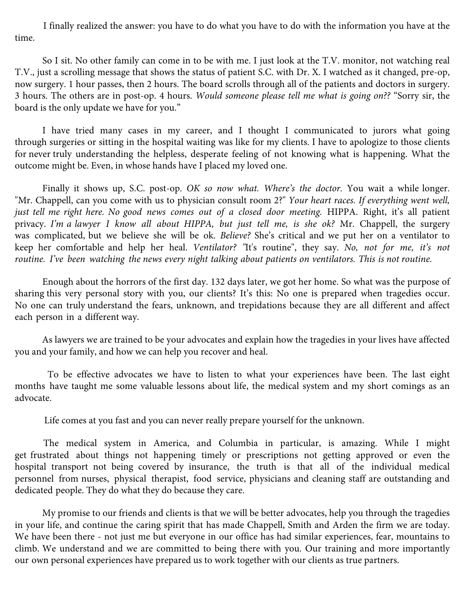

1 package (12 ounces) whole wheat penne pasta  $1-1/2$  pounds boneless skinless chicken breasts, cut into  $1/4$ -in.-thick strips 3 tablespoons olive oil, divided 3/4 teaspoon salt, divided 1/4 teaspoon pepper 3 garlic cloves, minced 1/2 cup reduced-sodium chicken broth 1/2 cup dry white wine or additional broth 6 plum tomatoes, chopped 2 cups fresh baby spinach 3/4 cup crumbled feta cheese

In a 6-qt. stockpot, cook pasta according to package directions. Drain; return to pot.

Meanwhile, toss chicken with 2 tablespoons oil, 1/2 teaspoon salt and pepper. In a large skillet, cook and stir chicken, half at a time, over medium-high heat 3-5 minutes or until no longer pink; remove from pan.

In same skillet, heat remaining oil over medium heat. Add garlic; cook and stir 1-2 minutes or until tender. Add broth and wine. Bring to a boil, stirring to loosen browned bits from pan; cook 2 minutes. Stir in tomatoes and remaining salt; cook until tomatoes are softened. Stir in spinach until wilted.

Add chicken and tomato mixture to pasta; heat through, tossing to combine. Serve with cheese.